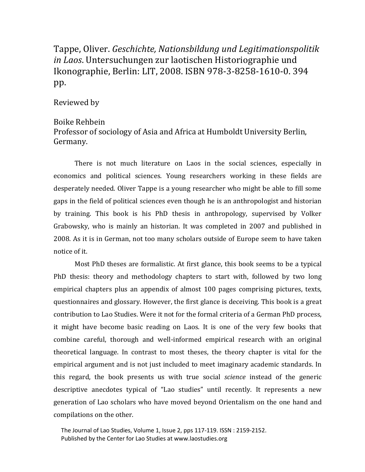## Tappe, Oliver. *Geschichte, Nationsbildung und Legitimationspolitik in Laos*. Untersuchungen zur laotischen Historiographie und Ikonographie, Berlin: LIT, 2008. ISBN 978-3-8258-1610-0. 394 pp.

## Reviewed by

## Boike Rehbein

## Professor of sociology of Asia and Africa at Humboldt University Berlin, Germany.

There is not much literature on Laos in the social sciences, especially in economics and political sciences. Young researchers working in these fields are desperately needed. Oliver Tappe is a young researcher who might be able to fill some gaps in the field of political sciences even though he is an anthropologist and historian by training. This book is his PhD thesis in anthropology, supervised by Volker Grabowsky, who is mainly an historian. It was completed in 2007 and published in 2008. As it is in German, not too many scholars outside of Europe seem to have taken notice of it.

Most PhD theses are formalistic. At first glance, this book seems to be a typical PhD thesis: theory and methodology chapters to start with, followed by two long empirical chapters plus an appendix of almost 100 pages comprising pictures, texts, questionnaires and glossary. However, the first glance is deceiving. This book is a great contribution to Lao Studies. Were it not for the formal criteria of a German PhD process, it might have become basic reading on Laos. It is one of the very few books that combine careful, thorough and well-informed empirical research with an original theoretical language. In contrast to most theses, the theory chapter is vital for the empirical argument and is not just included to meet imaginary academic standards. In this regard, the book presents us with true social *science* instead of the generic descriptive anecdotes typical of "Lao studies" until recently. It represents a new generation of Lao scholars who have moved beyond Orientalism on the one hand and compilations on the other.

 The Journal of Lao Studies, Volume 1, Issue 2, pps 117-119. ISSN : 2159-2152. Published by the Center for Lao Studies at www.laostudies.org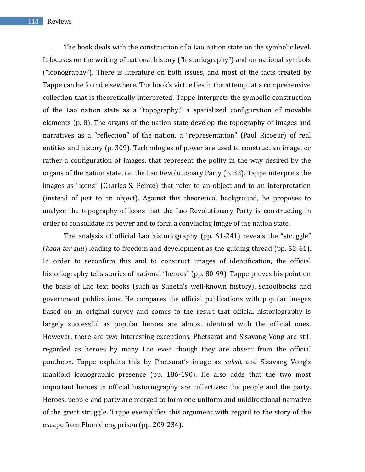The book deals with the construction of a Lao nation state on the symbolic level. It focuses on the writing of national history ("historiography") and on national symbols ("iconography"). There is literature on both issues, and most of the facts treated by Tappe can be found elsewhere. The book's virtue lies in the attempt at a comprehensive collection that is theoretically interpreted. Tappe interprets the symbolic construction of the Lao nation state as a "topography," a spatialized configuration of movable elements (p. 8). The organs of the nation state develop the topography of images and narratives as a "reflection" of the nation, a "representation" (Paul Ricoeur) of real entities and history (p. 309). Technologies of power are used to construct an image, or rather a configuration of images, that represent the polity in the way desired by the organs of the nation state, i.e. the Lao Revolutionary Party (p. 33). Tappe interprets the images as "icons" (Charles S. Peirce) that refer to an object and to an interpretation (instead of just to an object). Against this theoretical background, he proposes to analyze the topography of icons that the Lao Revolutionary Party is constructing in order to consolidate its power and to form a convincing image of the nation state.

The analysis of official Lao historiography (pp. 61-241) reveals the "struggle" (*kaan tor suu*) leading to freedom and development as the guiding thread (pp. 52-61). In order to reconfirm this and to construct images of identification, the official historiography tells stories of national "heroes" (pp. 80-99). Tappe proves his point on the basis of Lao text books (such as Suneth's well-known history), schoolbooks and government publications. He compares the official publications with popular images based on an original survey and comes to the result that official historiography is largely successful as popular heroes are almost identical with the official ones. However, there are two interesting exceptions. Phetsarat and Sisavang Vong are still regarded as heroes by many Lao even though they are absent from the official pantheon. Tappe explains this by Phetsarat's image as *saksit* and Sisavang Vong's manifold iconographic presence (pp. 186-190). He also adds that the two most important heroes in official historiography are collectives: the people and the party. Heroes, people and party are merged to form one uniform and unidirectional narrative of the great struggle. Tappe exemplifies this argument with regard to the story of the escape from Phonkheng prison (pp. 209-234).